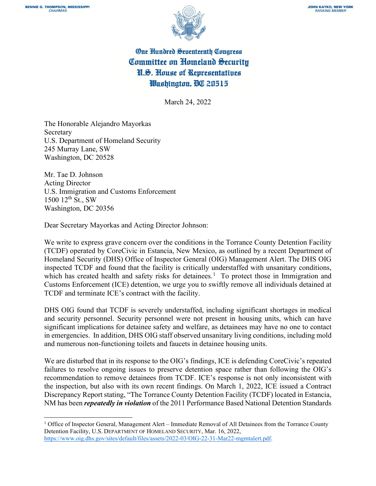

## One Hundred Seventeenth Congress Committee on Homeland Security U.S. House of Representatives Washington, OC 20515

March 24, 2022

The Honorable Alejandro Mayorkas Secretary U.S. Department of Homeland Security 245 Murray Lane, SW Washington, DC 20528

Mr. Tae D. Johnson Acting Director U.S. Immigration and Customs Enforcement  $1500$   $12^{th}$  St., SW Washington, DC 20356

Dear Secretary Mayorkas and Acting Director Johnson:

We write to express grave concern over the conditions in the Torrance County Detention Facility (TCDF) operated by CoreCivic in Estancia, New Mexico, as outlined by a recent Department of Homeland Security (DHS) Office of Inspector General (OIG) Management Alert. The DHS OIG inspected TCDF and found that the facility is critically understaffed with unsanitary conditions, which has created health and safety risks for detainees.<sup>[1](#page-0-0)</sup> To protect those in Immigration and Customs Enforcement (ICE) detention, we urge you to swiftly remove all individuals detained at TCDF and terminate ICE's contract with the facility.

DHS OIG found that TCDF is severely understaffed, including significant shortages in medical and security personnel. Security personnel were not present in housing units, which can have significant implications for detainee safety and welfare, as detainees may have no one to contact in emergencies. In addition, DHS OIG staff observed unsanitary living conditions, including mold and numerous non-functioning toilets and faucets in detainee housing units.

We are disturbed that in its response to the OIG's findings, ICE is defending CoreCivic's repeated failures to resolve ongoing issues to preserve detention space rather than following the OIG's recommendation to remove detainees from TCDF. ICE's response is not only inconsistent with the inspection, but also with its own recent findings. On March 1, 2022, ICE issued a Contract Discrepancy Report stating, "The Torrance County Detention Facility (TCDF) located in Estancia, NM has been *repeatedly in violation* of the 2011 Performance Based National Detention Standards

<span id="page-0-0"></span> $1$  Office of Inspector General, Management Alert – Immediate Removal of All Detainees from the Torrance County Detention Facility, U.S. DEPARTMENT OF HOMELAND SECURITY, Mar. 16, 2022, [https://www.oig.dhs.gov/sites/default/files/assets/2022-03/OIG-22-31-Mar22-mgmtalert.pdf.](https://www.oig.dhs.gov/sites/default/files/assets/2022-03/OIG-22-31-Mar22-mgmtalert.pdf)